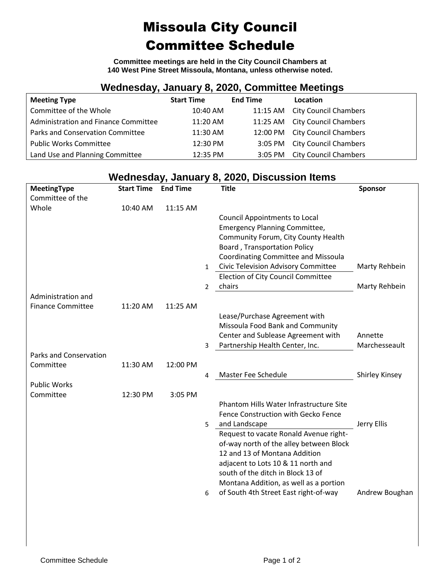## Missoula City Council Committee Schedule

**Committee meetings are held in the City Council Chambers at 140 West Pine Street Missoula, Montana, unless otherwise noted.**

## **Wednesday, January 8, 2020, Committee Meetings**

| <b>Meeting Type</b>                  | <b>Start Time</b> | <b>End Time</b> | Location                       |
|--------------------------------------|-------------------|-----------------|--------------------------------|
| Committee of the Whole               | 10:40 AM          |                 | 11:15 AM City Council Chambers |
| Administration and Finance Committee | 11:20 AM          |                 | 11:25 AM City Council Chambers |
| Parks and Conservation Committee     | 11:30 AM          |                 | 12:00 PM City Council Chambers |
| <b>Public Works Committee</b>        | 12:30 PM          |                 | 3:05 PM City Council Chambers  |
| Land Use and Planning Committee      | 12:35 PM          | $3:05$ PM       | <b>City Council Chambers</b>   |

## **Wednesday, January 8, 2020, Discussion Items**

| MeetingType                   | <b>Start Time</b> | <b>End Time</b> |                | <b>Title</b>                               | Sponsor               |
|-------------------------------|-------------------|-----------------|----------------|--------------------------------------------|-----------------------|
| Committee of the              |                   |                 |                |                                            |                       |
| Whole                         | 10:40 AM          | 11:15 AM        |                |                                            |                       |
|                               |                   |                 |                | <b>Council Appointments to Local</b>       |                       |
|                               |                   |                 |                | <b>Emergency Planning Committee,</b>       |                       |
|                               |                   |                 |                | Community Forum, City County Health        |                       |
|                               |                   |                 |                | <b>Board, Transportation Policy</b>        |                       |
|                               |                   |                 |                | <b>Coordinating Committee and Missoula</b> |                       |
|                               |                   |                 | $\mathbf{1}$   | Civic Television Advisory Committee        | Marty Rehbein         |
|                               |                   |                 |                | Election of City Council Committee         |                       |
|                               |                   |                 | $\overline{2}$ | chairs                                     | Marty Rehbein         |
| Administration and            |                   |                 |                |                                            |                       |
| <b>Finance Committee</b>      | 11:20 AM          | 11:25 AM        |                |                                            |                       |
|                               |                   |                 |                | Lease/Purchase Agreement with              |                       |
|                               |                   |                 |                | Missoula Food Bank and Community           |                       |
|                               |                   |                 |                | Center and Sublease Agreement with         | Annette               |
|                               |                   |                 | 3              | Partnership Health Center, Inc.            | Marchesseault         |
| <b>Parks and Conservation</b> |                   |                 |                |                                            |                       |
| Committee                     | 11:30 AM          | 12:00 PM        |                |                                            |                       |
|                               |                   |                 | 4              | Master Fee Schedule                        | <b>Shirley Kinsey</b> |
| <b>Public Works</b>           |                   |                 |                |                                            |                       |
| Committee                     | 12:30 PM          | 3:05 PM         |                |                                            |                       |
|                               |                   |                 |                | Phantom Hills Water Infrastructure Site    |                       |
|                               |                   |                 |                | Fence Construction with Gecko Fence        |                       |
|                               |                   |                 | 5.             | and Landscape                              | Jerry Ellis           |
|                               |                   |                 |                | Request to vacate Ronald Avenue right-     |                       |
|                               |                   |                 |                | of-way north of the alley between Block    |                       |
|                               |                   |                 |                | 12 and 13 of Montana Addition              |                       |
|                               |                   |                 |                | adjacent to Lots 10 & 11 north and         |                       |
|                               |                   |                 |                | south of the ditch in Block 13 of          |                       |
|                               |                   |                 |                | Montana Addition, as well as a portion     |                       |
|                               |                   |                 | 6              | of South 4th Street East right-of-way      | Andrew Boughan        |
|                               |                   |                 |                |                                            |                       |